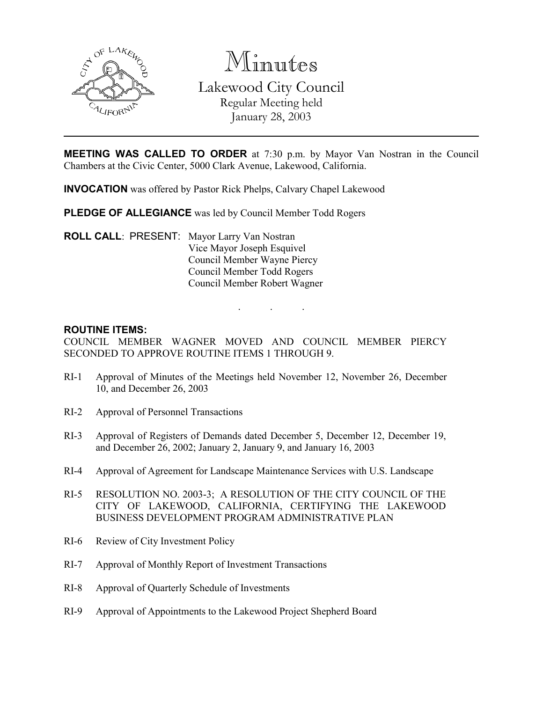

Minutes

Lakewood City Council Regular Meeting held January 28, 2003

MEETING WAS CALLED TO ORDER at 7:30 p.m. by Mayor Van Nostran in the Council Chambers at the Civic Center, 5000 Clark Avenue, Lakewood, California.

INVOCATION was offered by Pastor Rick Phelps, Calvary Chapel Lakewood

PLEDGE OF ALLEGIANCE was led by Council Member Todd Rogers

ROLL CALL: PRESENT: Mayor Larry Van Nostran Vice Mayor Joseph Esquivel Council Member Wayne Piercy Council Member Todd Rogers Council Member Robert Wagner

### ROUTINE ITEMS:

COUNCIL MEMBER WAGNER MOVED AND COUNCIL MEMBER PIERCY SECONDED TO APPROVE ROUTINE ITEMS 1 THROUGH 9.

. . .

- RI-1 Approval of Minutes of the Meetings held November 12, November 26, December 10, and December 26, 2003
- RI-2 Approval of Personnel Transactions
- RI-3 Approval of Registers of Demands dated December 5, December 12, December 19, and December 26, 2002; January 2, January 9, and January 16, 2003
- RI-4 Approval of Agreement for Landscape Maintenance Services with U.S. Landscape
- RI-5 RESOLUTION NO. 2003-3; A RESOLUTION OF THE CITY COUNCIL OF THE CITY OF LAKEWOOD, CALIFORNIA, CERTIFYING THE LAKEWOOD BUSINESS DEVELOPMENT PROGRAM ADMINISTRATIVE PLAN
- RI-6 Review of City Investment Policy
- RI-7 Approval of Monthly Report of Investment Transactions
- RI-8 Approval of Quarterly Schedule of Investments
- RI-9 Approval of Appointments to the Lakewood Project Shepherd Board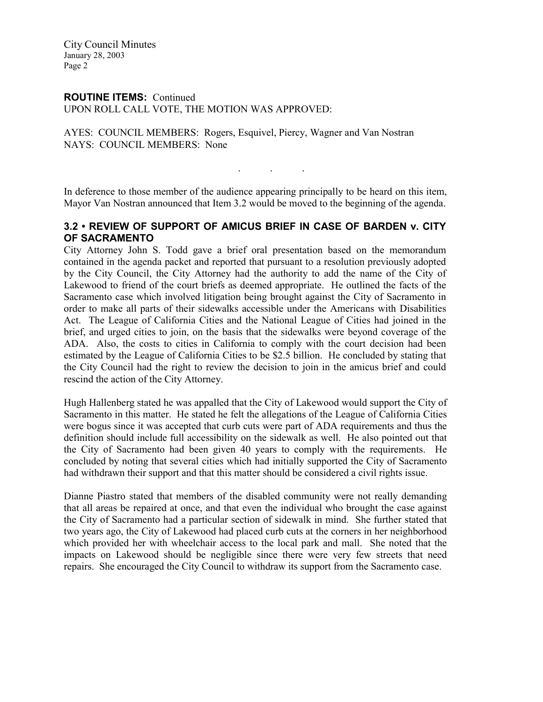City Council Minutes January 28, 2003 Page 2

## ROUTINE ITEMS: Continued

UPON ROLL CALL VOTE, THE MOTION WAS APPROVED:

AYES: COUNCIL MEMBERS: Rogers, Esquivel, Piercy, Wagner and Van Nostran NAYS: COUNCIL MEMBERS: None

In deference to those member of the audience appearing principally to be heard on this item, Mayor Van Nostran announced that Item 3.2 would be moved to the beginning of the agenda.

. . .

## 3.2 • REVIEW OF SUPPORT OF AMICUS BRIEF IN CASE OF BARDEN v. CITY OF SACRAMENTO

City Attorney John S. Todd gave a brief oral presentation based on the memorandum contained in the agenda packet and reported that pursuant to a resolution previously adopted by the City Council, the City Attorney had the authority to add the name of the City of Lakewood to friend of the court briefs as deemed appropriate. He outlined the facts of the Sacramento case which involved litigation being brought against the City of Sacramento in order to make all parts of their sidewalks accessible under the Americans with Disabilities Act. The League of California Cities and the National League of Cities had joined in the brief, and urged cities to join, on the basis that the sidewalks were beyond coverage of the ADA. Also, the costs to cities in California to comply with the court decision had been estimated by the League of California Cities to be \$2.5 billion. He concluded by stating that the City Council had the right to review the decision to join in the amicus brief and could rescind the action of the City Attorney.

Hugh Hallenberg stated he was appalled that the City of Lakewood would support the City of Sacramento in this matter. He stated he felt the allegations of the League of California Cities were bogus since it was accepted that curb cuts were part of ADA requirements and thus the definition should include full accessibility on the sidewalk as well. He also pointed out that the City of Sacramento had been given 40 years to comply with the requirements. He concluded by noting that several cities which had initially supported the City of Sacramento had withdrawn their support and that this matter should be considered a civil rights issue.

Dianne Piastro stated that members of the disabled community were not really demanding that all areas be repaired at once, and that even the individual who brought the case against the City of Sacramento had a particular section of sidewalk in mind. She further stated that two years ago, the City of Lakewood had placed curb cuts at the corners in her neighborhood which provided her with wheelchair access to the local park and mall. She noted that the impacts on Lakewood should be negligible since there were very few streets that need repairs. She encouraged the City Council to withdraw its support from the Sacramento case.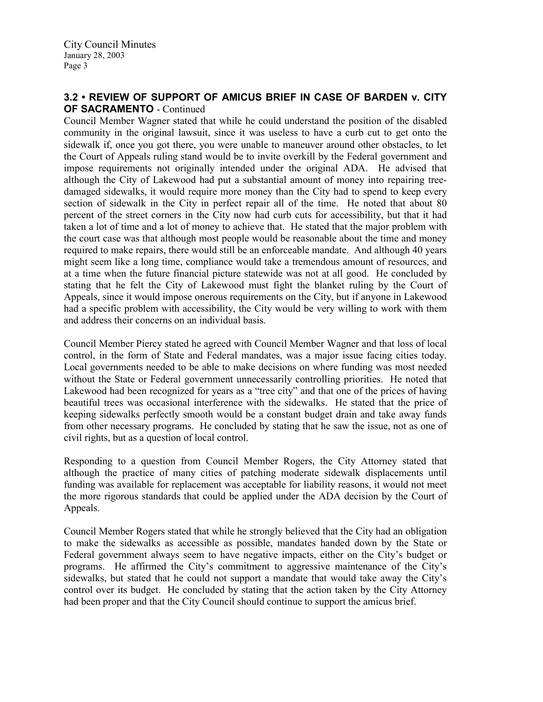# 3.2 • REVIEW OF SUPPORT OF AMICUS BRIEF IN CASE OF BARDEN v. CITY OF SACRAMENTO - Continued

Council Member Wagner stated that while he could understand the position of the disabled community in the original lawsuit, since it was useless to have a curb cut to get onto the sidewalk if, once you got there, you were unable to maneuver around other obstacles, to let the Court of Appeals ruling stand would be to invite overkill by the Federal government and impose requirements not originally intended under the original ADA. He advised that although the City of Lakewood had put a substantial amount of money into repairing treedamaged sidewalks, it would require more money than the City had to spend to keep every section of sidewalk in the City in perfect repair all of the time. He noted that about 80 percent of the street corners in the City now had curb cuts for accessibility, but that it had taken a lot of time and a lot of money to achieve that. He stated that the major problem with the court case was that although most people would be reasonable about the time and money required to make repairs, there would still be an enforceable mandate. And although 40 years might seem like a long time, compliance would take a tremendous amount of resources, and at a time when the future financial picture statewide was not at all good. He concluded by stating that he felt the City of Lakewood must fight the blanket ruling by the Court of Appeals, since it would impose onerous requirements on the City, but if anyone in Lakewood had a specific problem with accessibility, the City would be very willing to work with them and address their concerns on an individual basis.

Council Member Piercy stated he agreed with Council Member Wagner and that loss of local control, in the form of State and Federal mandates, was a major issue facing cities today. Local governments needed to be able to make decisions on where funding was most needed without the State or Federal government unnecessarily controlling priorities. He noted that Lakewood had been recognized for years as a "tree city" and that one of the prices of having beautiful trees was occasional interference with the sidewalks. He stated that the price of keeping sidewalks perfectly smooth would be a constant budget drain and take away funds from other necessary programs. He concluded by stating that he saw the issue, not as one of civil rights, but as a question of local control.

Responding to a question from Council Member Rogers, the City Attorney stated that although the practice of many cities of patching moderate sidewalk displacements until funding was available for replacement was acceptable for liability reasons, it would not meet the more rigorous standards that could be applied under the ADA decision by the Court of Appeals.

Council Member Rogers stated that while he strongly believed that the City had an obligation to make the sidewalks as accessible as possible, mandates handed down by the State or Federal government always seem to have negative impacts, either on the City's budget or programs. He affirmed the City's commitment to aggressive maintenance of the City's sidewalks, but stated that he could not support a mandate that would take away the City's control over its budget. He concluded by stating that the action taken by the City Attorney had been proper and that the City Council should continue to support the amicus brief.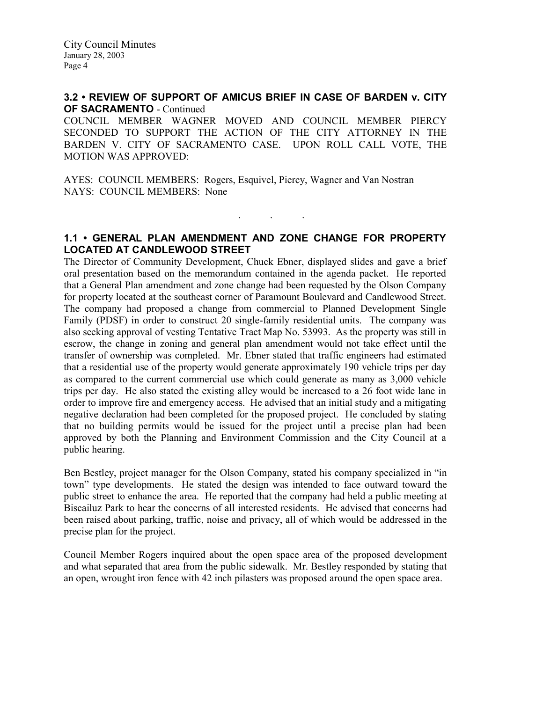City Council Minutes January 28, 2003 Page 4

## 3.2 • REVIEW OF SUPPORT OF AMICUS BRIEF IN CASE OF BARDEN v. CITY OF SACRAMENTO - Continued

COUNCIL MEMBER WAGNER MOVED AND COUNCIL MEMBER PIERCY SECONDED TO SUPPORT THE ACTION OF THE CITY ATTORNEY IN THE BARDEN V. CITY OF SACRAMENTO CASE. UPON ROLL CALL VOTE, THE MOTION WAS APPROVED:

AYES: COUNCIL MEMBERS: Rogers, Esquivel, Piercy, Wagner and Van Nostran NAYS: COUNCIL MEMBERS: None

## 1.1 • GENERAL PLAN AMENDMENT AND ZONE CHANGE FOR PROPERTY LOCATED AT CANDLEWOOD STREET

. . .

The Director of Community Development, Chuck Ebner, displayed slides and gave a brief oral presentation based on the memorandum contained in the agenda packet. He reported that a General Plan amendment and zone change had been requested by the Olson Company for property located at the southeast corner of Paramount Boulevard and Candlewood Street. The company had proposed a change from commercial to Planned Development Single Family (PDSF) in order to construct 20 single-family residential units. The company was also seeking approval of vesting Tentative Tract Map No. 53993. As the property was still in escrow, the change in zoning and general plan amendment would not take effect until the transfer of ownership was completed. Mr. Ebner stated that traffic engineers had estimated that a residential use of the property would generate approximately 190 vehicle trips per day as compared to the current commercial use which could generate as many as 3,000 vehicle trips per day. He also stated the existing alley would be increased to a 26 foot wide lane in order to improve fire and emergency access. He advised that an initial study and a mitigating negative declaration had been completed for the proposed project. He concluded by stating that no building permits would be issued for the project until a precise plan had been approved by both the Planning and Environment Commission and the City Council at a public hearing.

Ben Bestley, project manager for the Olson Company, stated his company specialized in "in town" type developments. He stated the design was intended to face outward toward the public street to enhance the area. He reported that the company had held a public meeting at Biscailuz Park to hear the concerns of all interested residents. He advised that concerns had been raised about parking, traffic, noise and privacy, all of which would be addressed in the precise plan for the project.

Council Member Rogers inquired about the open space area of the proposed development and what separated that area from the public sidewalk. Mr. Bestley responded by stating that an open, wrought iron fence with 42 inch pilasters was proposed around the open space area.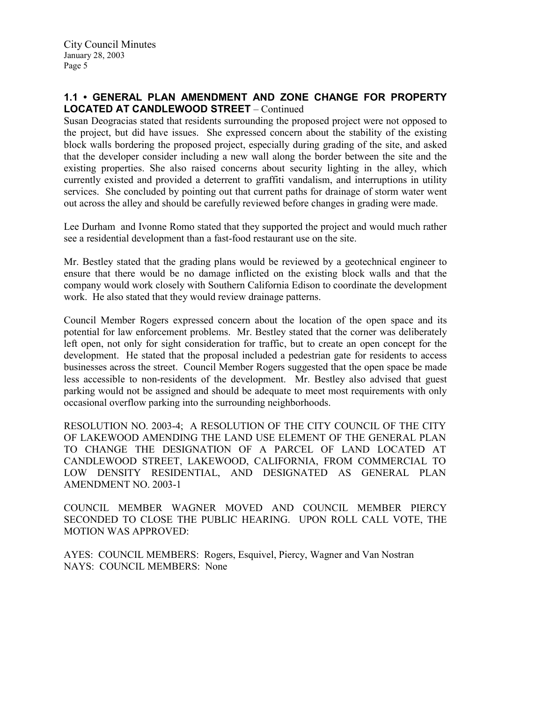## 1.1 • GENERAL PLAN AMENDMENT AND ZONE CHANGE FOR PROPERTY LOCATED AT CANDLEWOOD STREET – Continued

Susan Deogracias stated that residents surrounding the proposed project were not opposed to the project, but did have issues. She expressed concern about the stability of the existing block walls bordering the proposed project, especially during grading of the site, and asked that the developer consider including a new wall along the border between the site and the existing properties. She also raised concerns about security lighting in the alley, which currently existed and provided a deterrent to graffiti vandalism, and interruptions in utility services. She concluded by pointing out that current paths for drainage of storm water went out across the alley and should be carefully reviewed before changes in grading were made.

Lee Durham and Ivonne Romo stated that they supported the project and would much rather see a residential development than a fast-food restaurant use on the site.

Mr. Bestley stated that the grading plans would be reviewed by a geotechnical engineer to ensure that there would be no damage inflicted on the existing block walls and that the company would work closely with Southern California Edison to coordinate the development work. He also stated that they would review drainage patterns.

Council Member Rogers expressed concern about the location of the open space and its potential for law enforcement problems. Mr. Bestley stated that the corner was deliberately left open, not only for sight consideration for traffic, but to create an open concept for the development. He stated that the proposal included a pedestrian gate for residents to access businesses across the street. Council Member Rogers suggested that the open space be made less accessible to non-residents of the development. Mr. Bestley also advised that guest parking would not be assigned and should be adequate to meet most requirements with only occasional overflow parking into the surrounding neighborhoods.

RESOLUTION NO. 2003-4; A RESOLUTION OF THE CITY COUNCIL OF THE CITY OF LAKEWOOD AMENDING THE LAND USE ELEMENT OF THE GENERAL PLAN TO CHANGE THE DESIGNATION OF A PARCEL OF LAND LOCATED AT CANDLEWOOD STREET, LAKEWOOD, CALIFORNIA, FROM COMMERCIAL TO LOW DENSITY RESIDENTIAL, AND DESIGNATED AS GENERAL PLAN AMENDMENT NO. 2003-1

COUNCIL MEMBER WAGNER MOVED AND COUNCIL MEMBER PIERCY SECONDED TO CLOSE THE PUBLIC HEARING. UPON ROLL CALL VOTE, THE MOTION WAS APPROVED:

AYES: COUNCIL MEMBERS: Rogers, Esquivel, Piercy, Wagner and Van Nostran NAYS: COUNCIL MEMBERS: None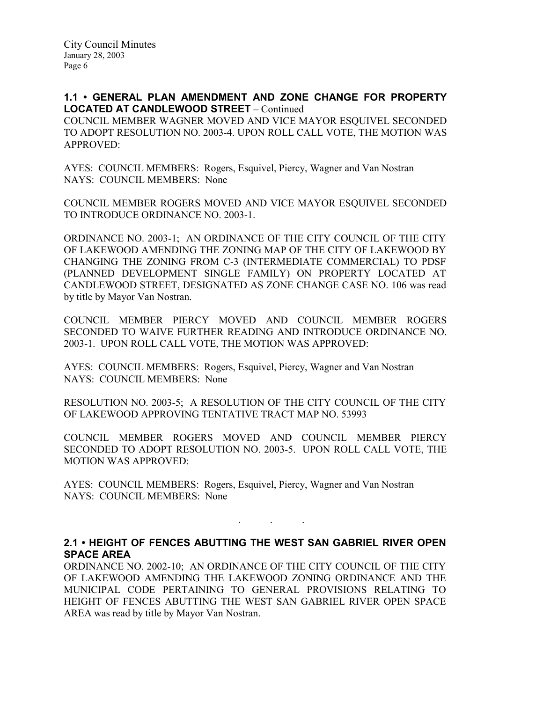1.1 • GENERAL PLAN AMENDMENT AND ZONE CHANGE FOR PROPERTY LOCATED AT CANDLEWOOD STREET – Continued COUNCIL MEMBER WAGNER MOVED AND VICE MAYOR ESQUIVEL SECONDED TO ADOPT RESOLUTION NO. 2003-4. UPON ROLL CALL VOTE, THE MOTION WAS APPROVED:

AYES: COUNCIL MEMBERS: Rogers, Esquivel, Piercy, Wagner and Van Nostran NAYS: COUNCIL MEMBERS: None

COUNCIL MEMBER ROGERS MOVED AND VICE MAYOR ESQUIVEL SECONDED TO INTRODUCE ORDINANCE NO. 2003-1.

ORDINANCE NO. 2003-1; AN ORDINANCE OF THE CITY COUNCIL OF THE CITY OF LAKEWOOD AMENDING THE ZONING MAP OF THE CITY OF LAKEWOOD BY CHANGING THE ZONING FROM C-3 (INTERMEDIATE COMMERCIAL) TO PDSF (PLANNED DEVELOPMENT SINGLE FAMILY) ON PROPERTY LOCATED AT CANDLEWOOD STREET, DESIGNATED AS ZONE CHANGE CASE NO. 106 was read by title by Mayor Van Nostran.

COUNCIL MEMBER PIERCY MOVED AND COUNCIL MEMBER ROGERS SECONDED TO WAIVE FURTHER READING AND INTRODUCE ORDINANCE NO. 2003-1. UPON ROLL CALL VOTE, THE MOTION WAS APPROVED:

AYES: COUNCIL MEMBERS: Rogers, Esquivel, Piercy, Wagner and Van Nostran NAYS: COUNCIL MEMBERS: None

RESOLUTION NO. 2003-5; A RESOLUTION OF THE CITY COUNCIL OF THE CITY OF LAKEWOOD APPROVING TENTATIVE TRACT MAP NO. 53993

COUNCIL MEMBER ROGERS MOVED AND COUNCIL MEMBER PIERCY SECONDED TO ADOPT RESOLUTION NO. 2003-5. UPON ROLL CALL VOTE, THE MOTION WAS APPROVED:

AYES: COUNCIL MEMBERS: Rogers, Esquivel, Piercy, Wagner and Van Nostran NAYS: COUNCIL MEMBERS: None

2.1 • HEIGHT OF FENCES ABUTTING THE WEST SAN GABRIEL RIVER OPEN SPACE AREA

. . .

ORDINANCE NO. 2002-10; AN ORDINANCE OF THE CITY COUNCIL OF THE CITY OF LAKEWOOD AMENDING THE LAKEWOOD ZONING ORDINANCE AND THE MUNICIPAL CODE PERTAINING TO GENERAL PROVISIONS RELATING TO HEIGHT OF FENCES ABUTTING THE WEST SAN GABRIEL RIVER OPEN SPACE AREA was read by title by Mayor Van Nostran.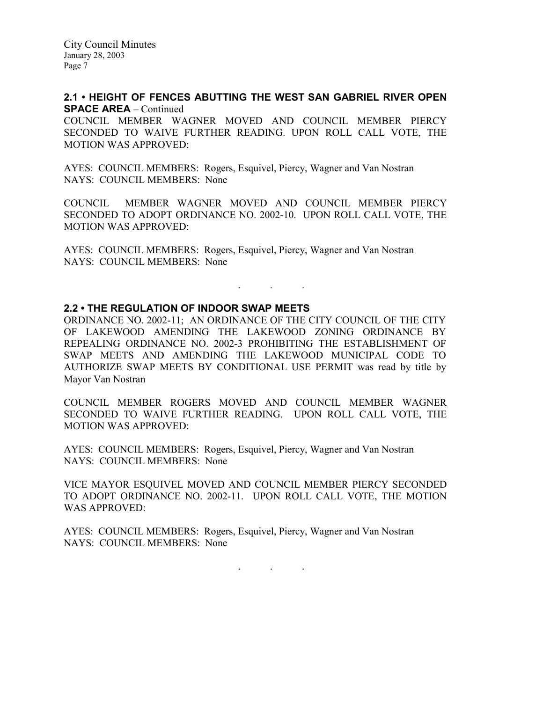City Council Minutes January 28, 2003 Page 7

## 2.1 • HEIGHT OF FENCES ABUTTING THE WEST SAN GABRIEL RIVER OPEN SPACE AREA – Continued

COUNCIL MEMBER WAGNER MOVED AND COUNCIL MEMBER PIERCY SECONDED TO WAIVE FURTHER READING. UPON ROLL CALL VOTE, THE MOTION WAS APPROVED:

AYES: COUNCIL MEMBERS: Rogers, Esquivel, Piercy, Wagner and Van Nostran NAYS: COUNCIL MEMBERS: None

COUNCIL MEMBER WAGNER MOVED AND COUNCIL MEMBER PIERCY SECONDED TO ADOPT ORDINANCE NO. 2002-10. UPON ROLL CALL VOTE, THE MOTION WAS APPROVED:

AYES: COUNCIL MEMBERS: Rogers, Esquivel, Piercy, Wagner and Van Nostran NAYS: COUNCIL MEMBERS: None

#### 2.2 • THE REGULATION OF INDOOR SWAP MEETS

ORDINANCE NO. 2002-11; AN ORDINANCE OF THE CITY COUNCIL OF THE CITY OF LAKEWOOD AMENDING THE LAKEWOOD ZONING ORDINANCE BY REPEALING ORDINANCE NO. 2002-3 PROHIBITING THE ESTABLISHMENT OF SWAP MEETS AND AMENDING THE LAKEWOOD MUNICIPAL CODE TO AUTHORIZE SWAP MEETS BY CONDITIONAL USE PERMIT was read by title by Mayor Van Nostran

. . .

COUNCIL MEMBER ROGERS MOVED AND COUNCIL MEMBER WAGNER SECONDED TO WAIVE FURTHER READING. UPON ROLL CALL VOTE, THE MOTION WAS APPROVED:

AYES: COUNCIL MEMBERS: Rogers, Esquivel, Piercy, Wagner and Van Nostran NAYS: COUNCIL MEMBERS: None

VICE MAYOR ESQUIVEL MOVED AND COUNCIL MEMBER PIERCY SECONDED TO ADOPT ORDINANCE NO. 2002-11. UPON ROLL CALL VOTE, THE MOTION WAS APPROVED:

AYES: COUNCIL MEMBERS: Rogers, Esquivel, Piercy, Wagner and Van Nostran NAYS: COUNCIL MEMBERS: None

. . .